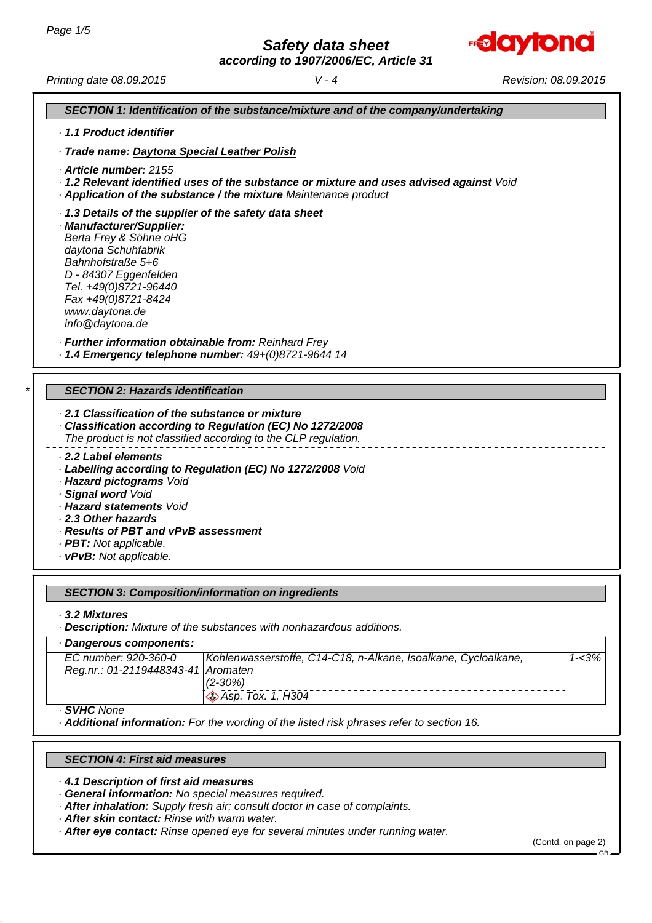*according to 1907/2006/EC, Article 31*



*Printing date 08.09.2015 Revision: 08.09.2015 V - 4*

*SECTION 1: Identification of the substance/mixture and of the company/undertaking*

- *· 1.1 Product identifier*
- *· Trade name: Daytona Special Leather Polish*
- *· Article number: 2155*
- *· 1.2 Relevant identified uses of the substance or mixture and uses advised against Void*
- *· Application of the substance / the mixture Maintenance product*
- *· 1.3 Details of the supplier of the safety data sheet*
- *· Manufacturer/Supplier: Berta Frey & Söhne oHG daytona Schuhfabrik Bahnhofstraße 5+6 D - 84307 Eggenfelden Tel. +49(0)8721-96440 Fax +49(0)8721-8424 www.daytona.de info@daytona.de*

*· Further information obtainable from: Reinhard Frey*

*· 1.4 Emergency telephone number: 49+(0)8721-9644 14*

# *\* SECTION 2: Hazards identification*

- *· 2.1 Classification of the substance or mixture*
- *· Classification according to Regulation (EC) No 1272/2008 The product is not classified according to the CLP regulation.*
- *· 2.2 Label elements*
	- *· Labelling according to Regulation (EC) No 1272/2008 Void*
	- *· Hazard pictograms Void*
	- *· Signal word Void*
	- *· Hazard statements Void*
	- *· 2.3 Other hazards*
	- *· Results of PBT and vPvB assessment*
	- *· PBT: Not applicable.*
	- *· vPvB: Not applicable.*

# *SECTION 3: Composition/information on ingredients*

*· 3.2 Mixtures*

*· Description: Mixture of the substances with nonhazardous additions.*

| Dangerous components:              |                                                                |           |
|------------------------------------|----------------------------------------------------------------|-----------|
| EC number: 920-360-0               | Kohlenwasserstoffe, C14-C18, n-Alkane, Isoalkane, Cycloalkane, | $1 - 3\%$ |
| Reg.nr.: 01-2119448343-41 Aromaten |                                                                |           |
|                                    | $(2 - 30\%)$                                                   |           |
|                                    | $\otimes$ Asp. Tox. 1, H304                                    |           |
| · SVHC None                        |                                                                |           |

*· SVHC None*

*· Additional information: For the wording of the listed risk phrases refer to section 16.*

# *SECTION 4: First aid measures*

*· 4.1 Description of first aid measures*

- *· General information: No special measures required.*
- *· After inhalation: Supply fresh air; consult doctor in case of complaints.*
- *· After skin contact: Rinse with warm water.*
- *· After eye contact: Rinse opened eye for several minutes under running water.*

(Contd. on page 2)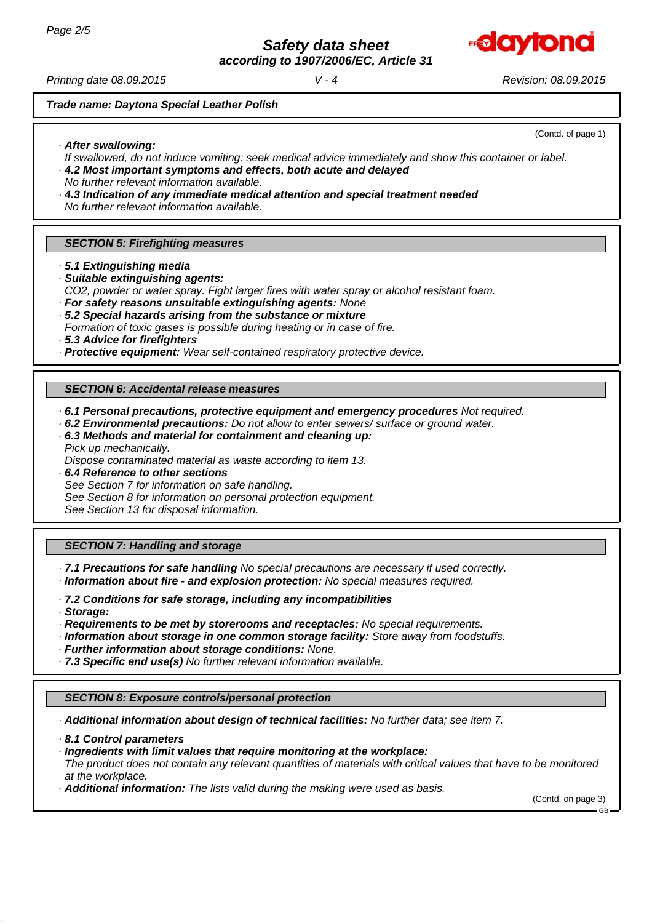

*according to 1907/2006/EC, Article 31*

*Printing date 08.09.2015 Revision: 08.09.2015 V - 4*

*Trade name: Daytona Special Leather Polish*

# *· After swallowing:*

(Contd. of page 1)

- *If swallowed, do not induce vomiting: seek medical advice immediately and show this container or label. · 4.2 Most important symptoms and effects, both acute and delayed*
- *No further relevant information available.*
- *· 4.3 Indication of any immediate medical attention and special treatment needed No further relevant information available.*

# *SECTION 5: Firefighting measures*

- *· 5.1 Extinguishing media*
- *· Suitable extinguishing agents:*
- *CO2, powder or water spray. Fight larger fires with water spray or alcohol resistant foam.*
- *· For safety reasons unsuitable extinguishing agents: None*
- *· 5.2 Special hazards arising from the substance or mixture*
- *Formation of toxic gases is possible during heating or in case of fire.*
- *· 5.3 Advice for firefighters*
- *· Protective equipment: Wear self-contained respiratory protective device.*

# *SECTION 6: Accidental release measures*

- *· 6.1 Personal precautions, protective equipment and emergency procedures Not required.*
- *· 6.2 Environmental precautions: Do not allow to enter sewers/ surface or ground water.*
- *· 6.3 Methods and material for containment and cleaning up: Pick up mechanically.*
- *Dispose contaminated material as waste according to item 13.*
- *· 6.4 Reference to other sections See Section 7 for information on safe handling. See Section 8 for information on personal protection equipment. See Section 13 for disposal information.*

# *SECTION 7: Handling and storage*

- *· 7.1 Precautions for safe handling No special precautions are necessary if used correctly.*
- *· Information about fire and explosion protection: No special measures required.*
- *· 7.2 Conditions for safe storage, including any incompatibilities*
- *· Storage:*
- *· Requirements to be met by storerooms and receptacles: No special requirements.*
- *· Information about storage in one common storage facility: Store away from foodstuffs.*
- *· Further information about storage conditions: None.*
- *· 7.3 Specific end use(s) No further relevant information available.*

### *SECTION 8: Exposure controls/personal protection*

*· Additional information about design of technical facilities: No further data; see item 7.*

- *· 8.1 Control parameters*
- *· Ingredients with limit values that require monitoring at the workplace: The product does not contain any relevant quantities of materials with critical values that have to be monitored at the workplace.*
- *· Additional information: The lists valid during the making were used as basis.*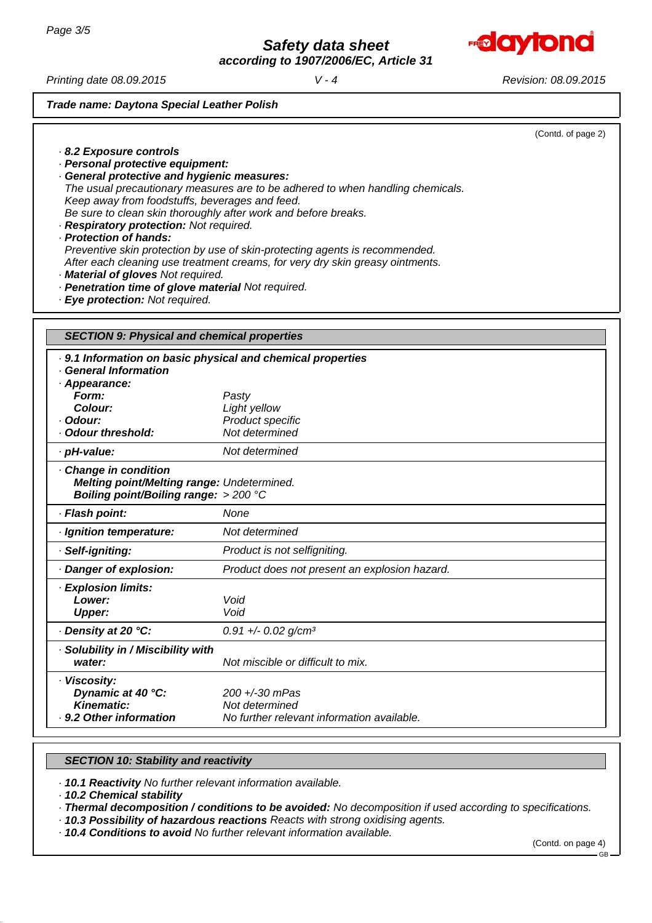

*according to 1907/2006/EC, Article 31*

*Printing date 08.09.2015 Revision: 08.09.2015 V - 4*

*· 8.2 Exposure controls*

*· Personal protective equipment:*

# *Trade name: Daytona Special Leather Polish*

|                                       | (Contd. of page 2) |
|---------------------------------------|--------------------|
|                                       |                    |
|                                       |                    |
| ıres:                                 |                    |
| he adhered to when handling chemicals |                    |

- *· General protective and hygienic measu The usual precautionary measures are to be adhered to when handling chemicals. Keep away from foodstuffs, beverages and feed. Be sure to clean skin thoroughly after work and before breaks.*
- *· Respiratory protection: Not required. · Protection of hands: Preventive skin protection by use of skin-protecting agents is recommended. After each cleaning use treatment creams, for very dry skin greasy ointments.*
- *· Material of gloves Not required.*
- *· Penetration time of glove material Not required.*
- *· Eye protection: Not required.*

| <b>SECTION 9: Physical and chemical properties</b>                                                                                                          |                                                                                  |  |  |
|-------------------------------------------------------------------------------------------------------------------------------------------------------------|----------------------------------------------------------------------------------|--|--|
| . 9.1 Information on basic physical and chemical properties<br>· General Information<br>· Appearance:<br>Form:<br>Colour:<br>· Odour:<br>· Odour threshold: | Pasty<br>Light yellow<br>Product specific<br>Not determined                      |  |  |
| · pH-value:                                                                                                                                                 | Not determined                                                                   |  |  |
| Change in condition<br>Melting point/Melting range: Undetermined.<br>Boiling point/Boiling range: $>$ 200 °C                                                |                                                                                  |  |  |
| · Flash point:                                                                                                                                              | None                                                                             |  |  |
| · Ignition temperature:                                                                                                                                     | Not determined                                                                   |  |  |
| · Self-igniting:                                                                                                                                            | Product is not selfigniting.                                                     |  |  |
| Danger of explosion:                                                                                                                                        | Product does not present an explosion hazard.                                    |  |  |
| · Explosion limits:<br>Lower:<br><b>Upper:</b>                                                                                                              | Void<br>Void                                                                     |  |  |
| · Density at 20 °C:                                                                                                                                         | $0.91 +/- 0.02$ g/cm <sup>3</sup>                                                |  |  |
| · Solubility in / Miscibility with<br>water:                                                                                                                | Not miscible or difficult to mix.                                                |  |  |
| · Viscosity:<br>Dynamic at 40 °C:<br>Kinematic:<br>. 9.2 Other information                                                                                  | $200 + -30$ mPas<br>Not determined<br>No further relevant information available. |  |  |

# *SECTION 10: Stability and reactivity*

*· 10.1 Reactivity No further relevant information available.*

*· 10.2 Chemical stability*

*· Thermal decomposition / conditions to be avoided: No decomposition if used according to specifications.*

*· 10.3 Possibility of hazardous reactions Reacts with strong oxidising agents.*

*· 10.4 Conditions to avoid No further relevant information available.*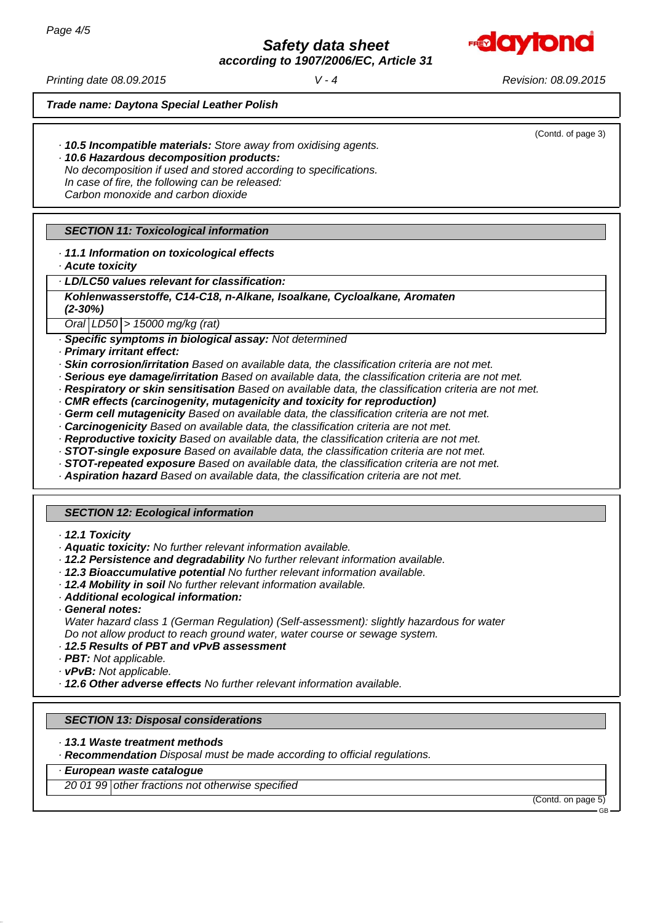

*according to 1907/2006/EC, Article 31*

*Printing date 08.09.2015 Revision: 08.09.2015 V - 4*

(Contd. of page 3)

*Trade name: Daytona Special Leather Polish*

- *· 10.5 Incompatible materials: Store away from oxidising agents.*
- *· 10.6 Hazardous decomposition products: No decomposition if used and stored according to specifications. In case of fire, the following can be released: Carbon monoxide and carbon dioxide*

# *SECTION 11: Toxicological information*

# *· 11.1 Information on toxicological effects*

*· Acute toxicity*

### *· LD/LC50 values relevant for classification:*

*Kohlenwasserstoffe, C14-C18, n-Alkane, Isoalkane, Cycloalkane, Aromaten (2-30%)*

*Oral LD50 > 15000 mg/kg (rat)*

*· Specific symptoms in biological assay: Not determined*

*· Primary irritant effect:*

*· Skin corrosion/irritation Based on available data, the classification criteria are not met.*

- *· Serious eye damage/irritation Based on available data, the classification criteria are not met.*
- *· Respiratory or skin sensitisation Based on available data, the classification criteria are not met.*
- *· CMR effects (carcinogenity, mutagenicity and toxicity for reproduction)*
- *· Germ cell mutagenicity Based on available data, the classification criteria are not met.*
- *· Carcinogenicity Based on available data, the classification criteria are not met.*
- *· Reproductive toxicity Based on available data, the classification criteria are not met.*
- *· STOT-single exposure Based on available data, the classification criteria are not met.*
- *· STOT-repeated exposure Based on available data, the classification criteria are not met.*
- *· Aspiration hazard Based on available data, the classification criteria are not met.*

### *SECTION 12: Ecological information*

- *· 12.1 Toxicity*
- *· Aquatic toxicity: No further relevant information available.*
- *· 12.2 Persistence and degradability No further relevant information available.*
- *· 12.3 Bioaccumulative potential No further relevant information available.*
- *· 12.4 Mobility in soil No further relevant information available.*
- *· Additional ecological information:*
- *· General notes:*

*Water hazard class 1 (German Regulation) (Self-assessment): slightly hazardous for water Do not allow product to reach ground water, water course or sewage system.*

- *· 12.5 Results of PBT and vPvB assessment*
- *· PBT: Not applicable.*
- *· vPvB: Not applicable.*

*· 12.6 Other adverse effects No further relevant information available.*

### *SECTION 13: Disposal considerations*

*· 13.1 Waste treatment methods*

*· Recommendation Disposal must be made according to official regulations.*

*· European waste catalogue*

*20 01 99 other fractions not otherwise specified*

(Contd. on page 5)

GB